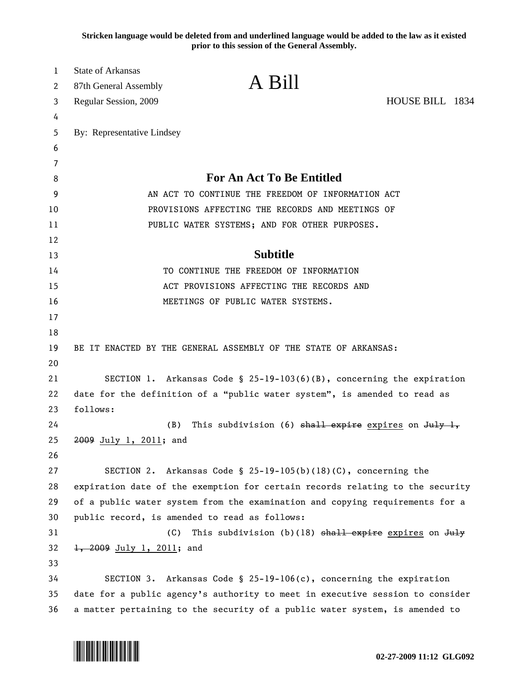**Stricken language would be deleted from and underlined language would be added to the law as it existed prior to this session of the General Assembly.**

| 1        | <b>State of Arkansas</b>                                                    | A Bill                                                                        |                 |  |
|----------|-----------------------------------------------------------------------------|-------------------------------------------------------------------------------|-----------------|--|
| 2        | 87th General Assembly                                                       |                                                                               |                 |  |
| 3        | Regular Session, 2009                                                       |                                                                               | HOUSE BILL 1834 |  |
| 4        |                                                                             |                                                                               |                 |  |
| 5        | By: Representative Lindsey                                                  |                                                                               |                 |  |
| 6        |                                                                             |                                                                               |                 |  |
| 7        |                                                                             | <b>For An Act To Be Entitled</b>                                              |                 |  |
| 8        |                                                                             |                                                                               |                 |  |
| 9        |                                                                             | AN ACT TO CONTINUE THE FREEDOM OF INFORMATION ACT                             |                 |  |
| 10       |                                                                             | PROVISIONS AFFECTING THE RECORDS AND MEETINGS OF                              |                 |  |
| 11       |                                                                             | PUBLIC WATER SYSTEMS; AND FOR OTHER PURPOSES.                                 |                 |  |
| 12<br>13 |                                                                             | <b>Subtitle</b>                                                               |                 |  |
| 14       |                                                                             | TO CONTINUE THE FREEDOM OF INFORMATION                                        |                 |  |
| 15       |                                                                             | ACT PROVISIONS AFFECTING THE RECORDS AND                                      |                 |  |
| 16       |                                                                             | MEETINGS OF PUBLIC WATER SYSTEMS.                                             |                 |  |
| 17       |                                                                             |                                                                               |                 |  |
| 18       |                                                                             |                                                                               |                 |  |
| 19       |                                                                             | BE IT ENACTED BY THE GENERAL ASSEMBLY OF THE STATE OF ARKANSAS:               |                 |  |
| 20       |                                                                             |                                                                               |                 |  |
| 21       |                                                                             | SECTION 1. Arkansas Code § 25-19-103(6)(B), concerning the expiration         |                 |  |
| 22       | date for the definition of a "public water system", is amended to read as   |                                                                               |                 |  |
| 23       | follows:                                                                    |                                                                               |                 |  |
| 24       | (B)                                                                         | This subdivision (6) $shall$ expire expires on July 1,                        |                 |  |
| 25       | 2009 July 1, 2011; and                                                      |                                                                               |                 |  |
| 26       |                                                                             |                                                                               |                 |  |
| 27       |                                                                             | SECTION 2. Arkansas Code § $25-19-105(b)(18)(C)$ , concerning the             |                 |  |
| 28       |                                                                             | expiration date of the exemption for certain records relating to the security |                 |  |
| 29       |                                                                             | of a public water system from the examination and copying requirements for a  |                 |  |
| 30       | public record, is amended to read as follows:                               |                                                                               |                 |  |
| 31       | (C)                                                                         | This subdivision (b)(18) $shall$ expire expires on July                       |                 |  |
| 32       | 1, 2009 July 1, 2011; and                                                   |                                                                               |                 |  |
| 33       |                                                                             |                                                                               |                 |  |
| 34       |                                                                             | SECTION 3. Arkansas Code § 25-19-106(c), concerning the expiration            |                 |  |
| 35       |                                                                             | date for a public agency's authority to meet in executive session to consider |                 |  |
| 36       | a matter pertaining to the security of a public water system, is amended to |                                                                               |                 |  |